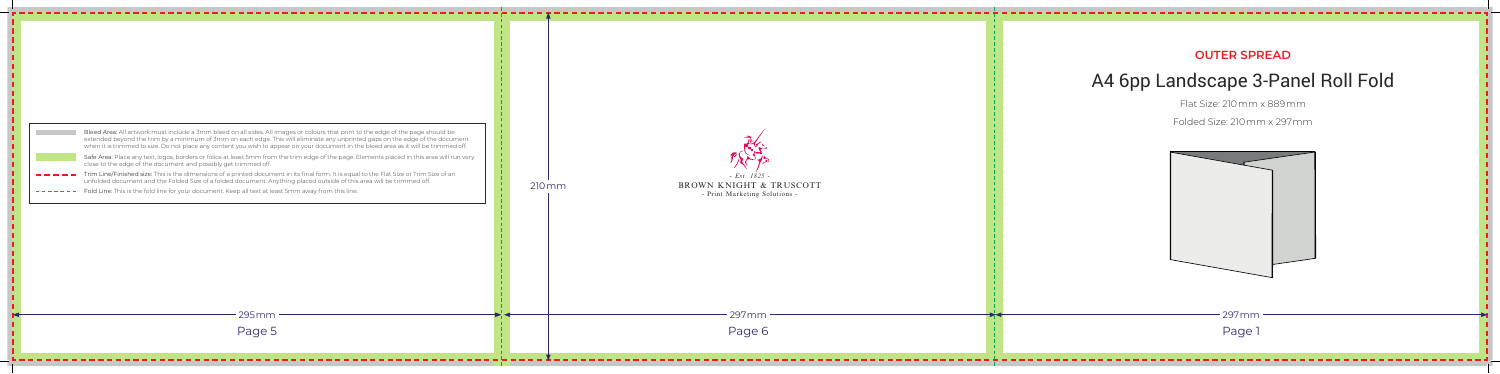| Bleed Area: All artwork must include a 3mm bleed on all sides. All images or colours that print to the edge of the page should be<br>extended beyond the trim by a minimum of 3mm on each edge. This will eliminate any unprinted gaps on the edge of the document<br>when it is trimmed to size. Do not place any content you wish to appear on your document in the bleed area as it will be trimmed off.<br>Safe Area: Place any text, logos, borders or folios at least 5mm from the trim edge of the page. Elements placed in this area will run very<br>close to the edge of the document and possibly get trimmed off.<br>Trim Line/Finished size: This is the dimensions of a printed document in its final form. It is equal to the Flat Size or Trim Size of an<br>unfolded document and the Folded Size of a folded document. Anything placed outside of this area will be trimmed off.<br>Fold Line: This is the fold line for your document. Keep all text at least 5mm away from this line.<br>295 mm | $210 \,\mathrm{mm}$ |  |
|---------------------------------------------------------------------------------------------------------------------------------------------------------------------------------------------------------------------------------------------------------------------------------------------------------------------------------------------------------------------------------------------------------------------------------------------------------------------------------------------------------------------------------------------------------------------------------------------------------------------------------------------------------------------------------------------------------------------------------------------------------------------------------------------------------------------------------------------------------------------------------------------------------------------------------------------------------------------------------------------------------------------|---------------------|--|
| Page 5                                                                                                                                                                                                                                                                                                                                                                                                                                                                                                                                                                                                                                                                                                                                                                                                                                                                                                                                                                                                              |                     |  |

## **OUTER SPREAD**

## A4 6pp Landscape 3-Panel Roll Fold



Flat Size: 210mm x 889mm

Folded Size: 210mm x 297mm